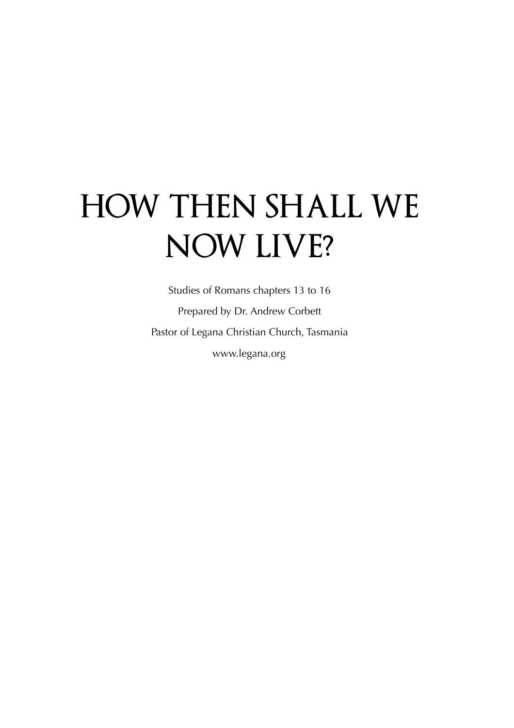## **HOW THEN SHALL WE NOW LIVE?**

Studies of Romans chapters 13 to 16 Prepared by Dr. Andrew Corbett Pastor of Legana Christian Church, Tasmania www.legana.org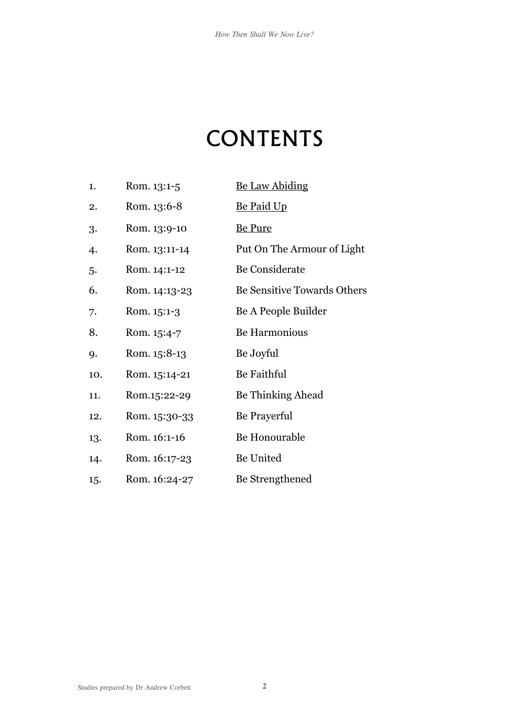## **CONTENTS**

| 1.  | Rom. 13:1-5   | <b>Be Law Abiding</b>       |
|-----|---------------|-----------------------------|
| 2.  | Rom. 13:6-8   | <u>Be Paid Up</u>           |
| 3.  | Rom. 13:9-10  | <b>Be Pure</b>              |
| 4.  | Rom. 13:11-14 | Put On The Armour of Light  |
| 5.  | Rom. 14:1-12  | Be Considerate              |
| 6.  | Rom. 14:13-23 | Be Sensitive Towards Others |
| 7.  | Rom. 15:1-3   | Be A People Builder         |
| 8.  | Rom. 15:4-7   | Be Harmonious               |
| 9.  | Rom. 15:8-13  | Be Joyful                   |
| 10. | Rom. 15:14-21 | Be Faithful                 |
| 11. | Rom.15:22-29  | Be Thinking Ahead           |
| 12. | Rom. 15:30-33 | Be Prayerful                |
| 13. | Rom. 16:1-16  | Be Honourable               |
| 14. | Rom. 16:17-23 | Be United                   |
| 15. | Rom. 16:24-27 | Be Strengthened             |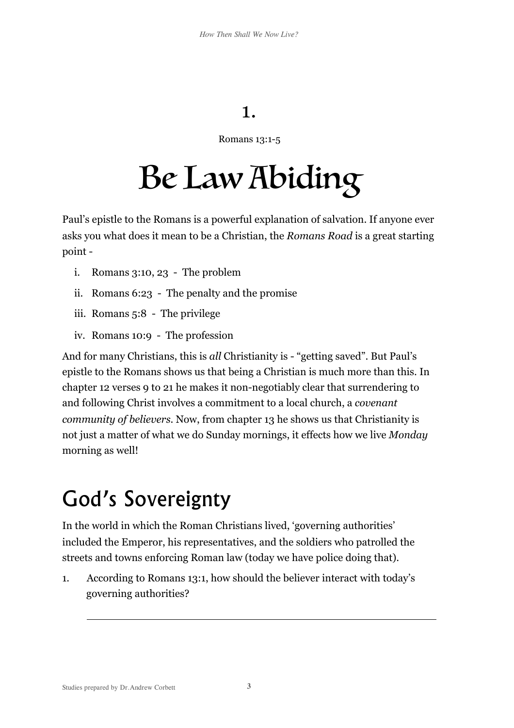### <span id="page-2-0"></span>1.

#### Romans 13:1-5

# Be Law Abiding

Paul's epistle to the Romans is a powerful explanation of salvation. If anyone ever asks you what does it mean to be a Christian, the *Romans Road* is a great starting point -

- i. Romans 3:10, 23 The problem
- ii. Romans 6:23 The penalty and the promise
- iii. Romans 5:8 The privilege
- iv. Romans 10:9 The profession

And for many Christians, this is *all* Christianity is - "getting saved". But Paul's epistle to the Romans shows us that being a Christian is much more than this. In chapter 12 verses 9 to 21 he makes it non-negotiably clear that surrendering to and following Christ involves a commitment to a local church, a *covenant community of believers*. Now, from chapter 13 he shows us that Christianity is not just a matter of what we do Sunday mornings, it effects how we live *Monday* morning as well!

### God's Sovereignty

In the world in which the Roman Christians lived, 'governing authorities' included the Emperor, his representatives, and the soldiers who patrolled the streets and towns enforcing Roman law (today we have police doing that).

1. According to Romans 13:1, how should the believer interact with today's governing authorities?